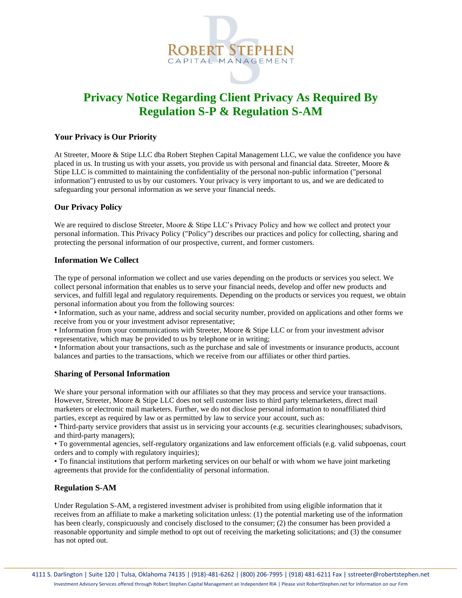

# **Privacy Notice Regarding Client Privacy As Required By Regulation S-P & Regulation S-AM**

# **Your Privacy is Our Priority**

At Streeter, Moore & Stipe LLC dba Robert Stephen Capital Management LLC, we value the confidence you have placed in us. In trusting us with your assets, you provide us with personal and financial data. Streeter, Moore & Stipe LLC is committed to maintaining the confidentiality of the personal non-public information ("personal information") entrusted to us by our customers. Your privacy is very important to us, and we are dedicated to safeguarding your personal information as we serve your financial needs.

## **Our Privacy Policy**

We are required to disclose Streeter, Moore & Stipe LLC's Privacy Policy and how we collect and protect your personal information. This Privacy Policy ("Policy") describes our practices and policy for collecting, sharing and protecting the personal information of our prospective, current, and former customers.

## **Information We Collect**

The type of personal information we collect and use varies depending on the products or services you select. We collect personal information that enables us to serve your financial needs, develop and offer new products and services, and fulfill legal and regulatory requirements. Depending on the products or services you request, we obtain personal information about you from the following sources:

• Information, such as your name, address and social security number, provided on applications and other forms we receive from you or your investment advisor representative;

• Information from your communications with Streeter, Moore & Stipe LLC or from your investment advisor representative, which may be provided to us by telephone or in writing;

• Information about your transactions, such as the purchase and sale of investments or insurance products, account balances and parties to the transactions, which we receive from our affiliates or other third parties.

#### **Sharing of Personal Information**

We share your personal information with our affiliates so that they may process and service your transactions. However, Streeter, Moore & Stipe LLC does not sell customer lists to third party telemarketers, direct mail marketers or electronic mail marketers. Further, we do not disclose personal information to nonaffiliated third parties, except as required by law or as permitted by law to service your account, such as:

• Third-party service providers that assist us in servicing your accounts (e.g. securities clearinghouses; subadvisors, and third-party managers);

• To governmental agencies, self-regulatory organizations and law enforcement officials (e.g. valid subpoenas, court orders and to comply with regulatory inquiries);

• To financial institutions that perform marketing services on our behalf or with whom we have joint marketing agreements that provide for the confidentiality of personal information.

#### **Regulation S-AM**

Under Regulation S-AM, a registered investment adviser is prohibited from using eligible information that it receives from an affiliate to make a marketing solicitation unless: (1) the potential marketing use of the information has been clearly, conspicuously and concisely disclosed to the consumer; (2) the consumer has been provided a reasonable opportunity and simple method to opt out of receiving the marketing solicitations; and (3) the consumer has not opted out.